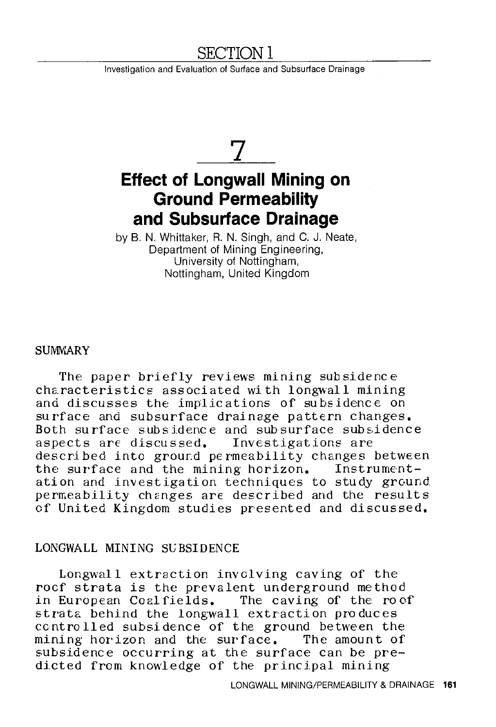# SECTION I

Investigation and Evaluation of Surface and Subsurface Drainage

# **7 Effect of Longwall Mining on Ground Permeability and Subsurface Drainage**

by B. N. Whittaker, R. N. Singh, and C. J. Neate, Department of Mining Engineering, University of Nottingham, Nottingham, United Kingdom

#### SUMWARY.

The paper briefly reviews mining subsidence characteristics associated with longwall mining and discusses the implications of subsidence on surface and subsurface drainage pattern changes. Both surface subsidence and subsurface subsidence aspects are discussed. Investigations are described into ground permeability changes between<br>the surface and the mining horizon. Instrumentthe surface and the mining horizon. ation and investigation techniques to study ground permeability changes are described and the results of United Kingdom studies presented and discussed.

#### LONGWALL MINING SUBSIDENCE

Longwall extraction involving caving of the roof strata is the prevalent underground method in European Coal fields. The caving of the roof strata behind the longwall extraction produces controlled subsidence of the ground between the mining horizon and the surface. The amount of subsidence occurring at the surface can be predicted from knowledge of the principal mining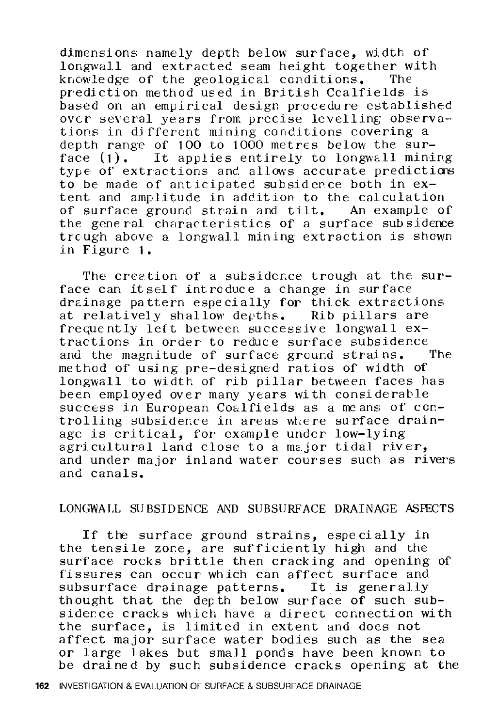dimensions namely depth below surface, width of longwall and extracted seam height together with knowledge of the geological conditions. prediction method used in British Ccalfields is based on an empirical design procedure established over several years from precise levelling observations in different mining conditions covering a depth range of **100** to 1000 metres below the surface (1). It applies entirely to longwall mining type of extractions and allows accurate predictions to be made of anticipated subsiderce both in extent and amplitude in addition to the calculation of surface ground strain and tilt. An example of the general characteristics of a surface sub siderce trcugh above a longwall mining extraction is shown in Figure **1.** 

The creation of a subsidence trough at the surface can itself introduce a change in surface drainage pattern especially for thick extractions at relatively shallow depths. Rib pillars are frequently left between successive longwall extractions in order to reduce surface subsidence<br>and the magnitude of surface ground strains. The and the magnitude of surface ground strains. method of using pre-designed ratios of width of longwall to width of rib pillar between faces has been employed over many years with considerable success in European Coalfields as a means of controlling subsidence in areas where surface drainage is critical, for example under low-lying agricultural land close to a major tidal river, and under major inland water courses such as rivers and canals.

## LONGWALL SUBSIDENCE AND SUBSURFACE DRAINAGE ASFECTS

If the surface ground strains, especially in the tensile zone, are sufficiently high and the surface rocks brittle then cracking and opening of fissures can occur which can affect surface and subsurface drainage patterns. It is generally thought that the depth below surface of such subsidence cracks which have a direct connection with the surface, is limited in extent and does not affect major surface water bodies such as the sea. or large lakes but small ponds have been known to be drained by such subsidence cracks opening at the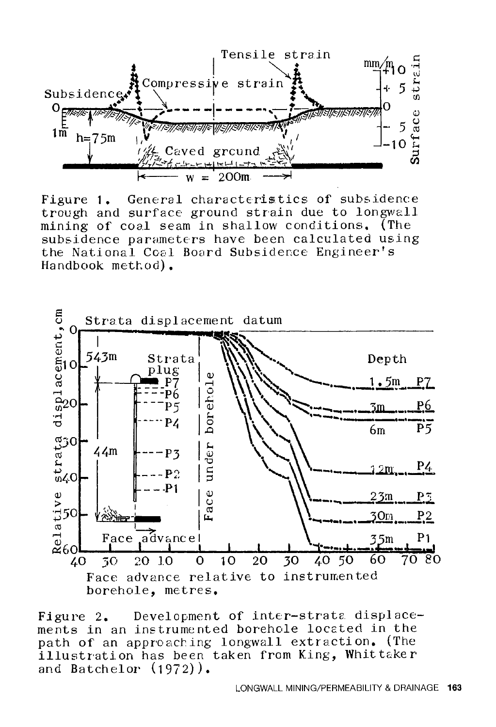

General characteristics of subsidence Figure 1. trough and surface ground strain due to longwall mining of coal seam in shallow conditions. (The subsidence parameters have been calculated using the National Coal Board Subsidence Engineer's Handbook method).



Development of inter-strata displace-Figure 2. ments in an instrumented borehole located in the path of an approaching longwall extraction. (The illustration has been taken from King, Whittaker and Batchelor  $(1972)$ .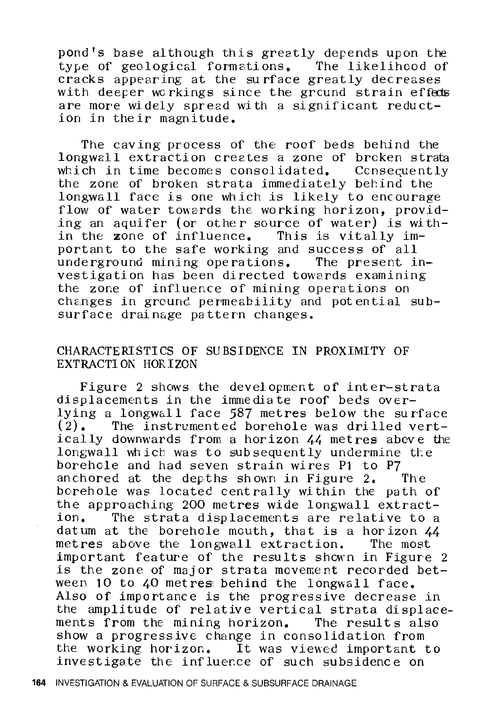pond's base although this greatly depends upon the type of geological formations. The likelihood of cracks appearing at the surface greatly decreases with deeper workings since the ground strain effects are more widely spread with a significant reduction in their magnitude.

The caving process of the roof beds behind the longwall extraction creates a zone of brcken strata<br>which in time becomes consolidated. Consecuently which in time becomes consolidated. the zone of broken strata immediately behind the longwall face is one which is likely to encourage flow of water towards the working horizon, providing an aquifer (or other source of water) is within the zone of influence. This is vitally important to the safe working and success of all underground mining operations. The present investigation has been directed towards examining the zone of influence of mining operations on changes in ground permeability and pot ential subsurface drainage pattern changes.

# CHARACTERISTICS OF SUBSIDENCE IN PROXIMITY OF EXTRACTION HORIZON

Figure 2 shows the development of inter-strata displacements in the immediate roof beds overlying a longwall face  $587$  metres below the surface  $(2)$ . The instrumented borehole was drilled vert-The instrumented borehole was drilled vertically downwards from a horizon 44 metres above the longwall which was to subsequently undermine the borehole and had seven strain wires P1 to P7 anchored at the depths shown in Figure 2. The anchored at the depths shown in Figure  $2$ . borehole was located centrally within the path of the approaching 200 metres wide longwall extract-The strata displacements are relative to a datum at the borehole mouth, that is a horizon 44 metres above the longwall extraction. The most important feature of the results shewn in Figure 2 is the zone of major strata movement recorded between 10 to 40 metres behind the longwall face. Also of importance is the progressive decrease in the amplitude of relative vertical strata displacements from the mining horizon. The results also show a progressive change in consolidation from the working horizon. It was viewed important to investigate the influence of such subsidence on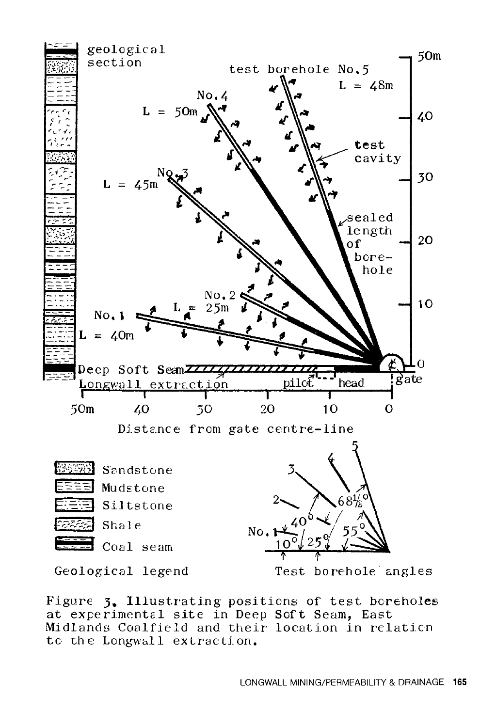

Figure 3. Illustrating positions of test boreholes at experimental site in Deep Soft Seam, East Midlands Coalfield and their location in relation to the Longwall extraction.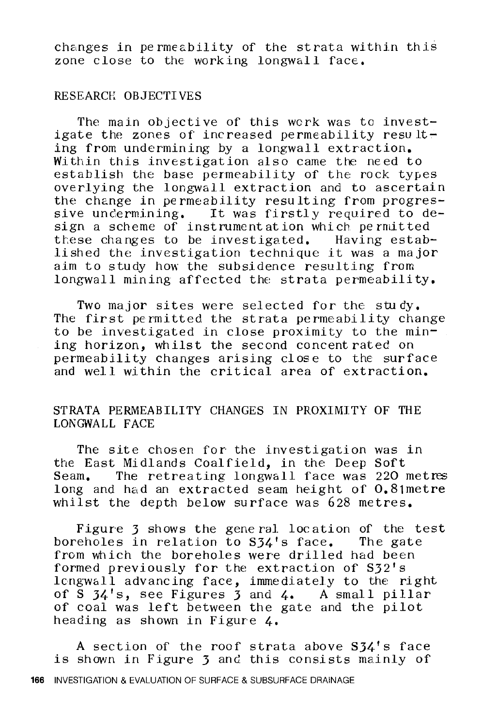changes in permeability of the strata within this zone close to the working longwall face.

#### RESEARCH OBJECTIVES

The main objective of this wcrk was to investigate the zones of increased permeability resulting from undermining by a longwall extraction. Within this investigation also came the need to establish the base permeability of the rock types overlying the longwall extraction and to ascertain the change in permeability resulting from progressive undermining. It was firstly required to design a scheme of instrument at ion which permitted these changes to be investigated. Having established the investigation technique it was a major aim to study how the subsidence resulting from longwall mining affected the strata permeability,

Two major sites were selected for the study. The first permitted the strata permeability change to be investigated in close proximity to the mining horizon, whilst the second concentrated on permeability changes arising close to the surface and well within the critical area of extraction.

# STRATA PERMEABILITY CHANGES IN PROXIMITY OF THE LONGWALL FACE

The site chosen for the investigation was in the East Midlands Coalfield, in the Deep Soft Seam. The retreating longwall face was 220 metres long and had an extracted seam height of 0.81metre whilst the depth below surface was 628 metres,

Figure 3 shows the general location of the test boreholes in relation to S34's face. The gate from which the boreholes were drilled had been formed previously for the extraction of  $S32's$ lcngwall advancing face, immediately to the right of S  $34'$ s, see Figures 3 and 4. A small pillar of coal was left between the gate and the pilot heading as shown in Figure 4.

A section of the roof strata above  $S34'$ s face is shown in Figure 3 and this consists mainly of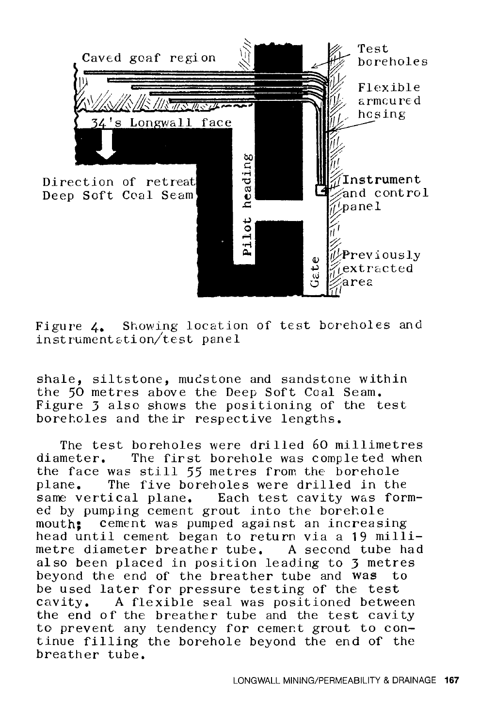

Figure 4. Showing location of test boreholes and instrument z.ti on/test panel

shale, siltstone, mucstone and sandstone within the 50 metres above the Deep Soft Coal Seam, Figure 3 also shows the positioning of the test boreholes and their respective lengths.

The test boreholes were drilled 60 millimetres<br>diameter. The first borehole was completed when The first borehole was completed when the face was still 55 metres from the borehole<br>plane. The five boreholes were drilled in the The five boreholes were drilled in the sane vertical plane, Each test cavity was formed by pumping cement grout into the borehole mouth; cement was pumped against an increasing head until cement began to return via a 19 millimetre diameter breather tube, A second tube had also been placed in position leading to 3 metres beyond the end of the breather tube and was to be used later for pressure testing of the test cavity, A flexible seal was positioned between the end of the breather tube and the test cavity to prevent any tendency for cement grout to continue filling the borehole beyond the end of the breather tube,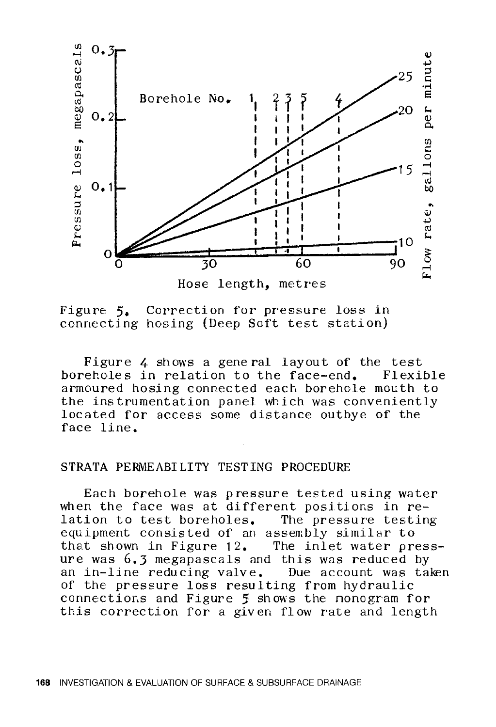

Figure 5. Correction for pressure loss in connecting hosing (Deep Soft test station)

Figure 4 shows a general layout of the test boreholes in relation to the face-end. armoured hosing connected each borehole mouth to the instrumentation panel which was conveniently located for access some distance outbye of the face line.

#### STRATA PERMEABILITY TESTING PROCEDURE

Each borehole was pressure tested using water when the face was at different positions in  $re$ -<br>lation to test boreholes. The pressure testing lation to test boreholes. equipment consisted of an assembly similar to that shown in Figure 12. The inlet water pressure was 6.3 megapascals and this was reduced by an in-line reducing valve. Due account was taken of the pressure loss resulting from hydraulic connections and Figure 5 shows the nonogram for this correction for a given flow rate and length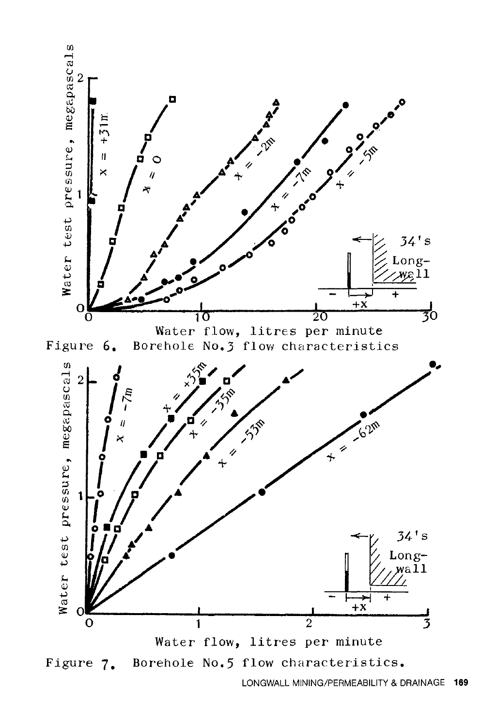

LONGWALL MINING/PERMEABILITY & DRAINAGE **169**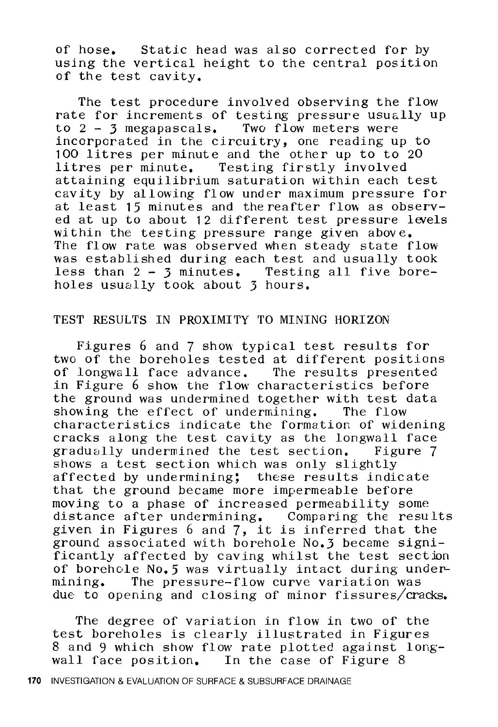of hose. Static head was also corrected for by using the vertical height to the central position of the test cavity.

The test procedure involved observing the flow rate for increments of testing pressure usually up to  $2 - 3$  megapascals. Two flow meters were incorporated in the circuitry, one reading up to 100 litres per minute and the other up to to 20 litres per minute. Testing firstly involved attaining equilibrium saturation within each test cavity by al lowing fl ow under maximum pressure for at least  $15$  minutes and the reafter flow as observed at up to about 12 different test pressure levels within the testing pressure range given above. The flow rate was observed when steady state flow was established during each test and usually took less than 2 - 3 minutes. Testing all five boreholes usually took about 3 hours.

#### TEST RESULTS IN PROXIMITY TO MINING HORIZON

Figures 6 and 7 show typical test results for two of the boreholes tested at different positions of longwall face advance. The results presented in Figure 6 show the flow characteristics before the ground was undermined together with test data showing the effect of undermining. The flow characteristics indicate the formation of widening cracks along the test cavity as the longwall face gradually undermined the test section. shows a test section which was only slightly affected by undermining; these results indicate that the ground became more impermeable before moving to a phase of increased permeability some distance after undermining. Comparing the results aistance arter undermining. Comparing the result<br>given in Figures 6 and 7, it is inferred that the ground associated with borehole No.3 became significantly affected by caving whilst the test section of borehole No. 5 was virtually intact during undermining. The pressure-flow curve variation was due to opening and closing of minor fissures/cracks.

The degree of variation in flow in two of the test boreholes is clearly illustrated in Figures 8 and 9 which show flow rate plotted against longwall face position. In the case of Figure 8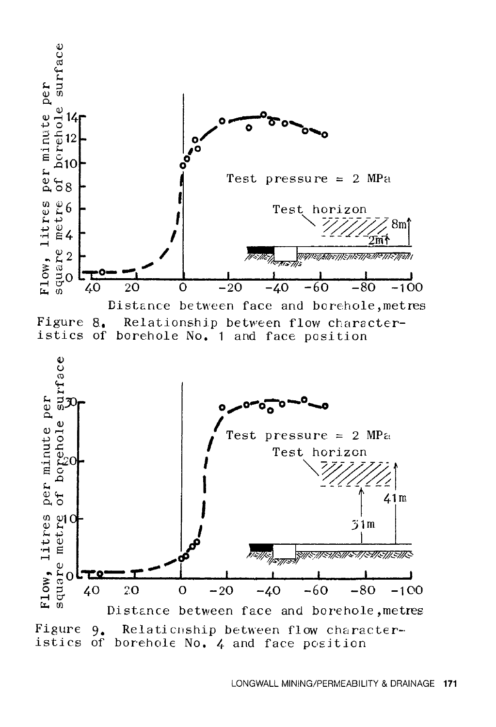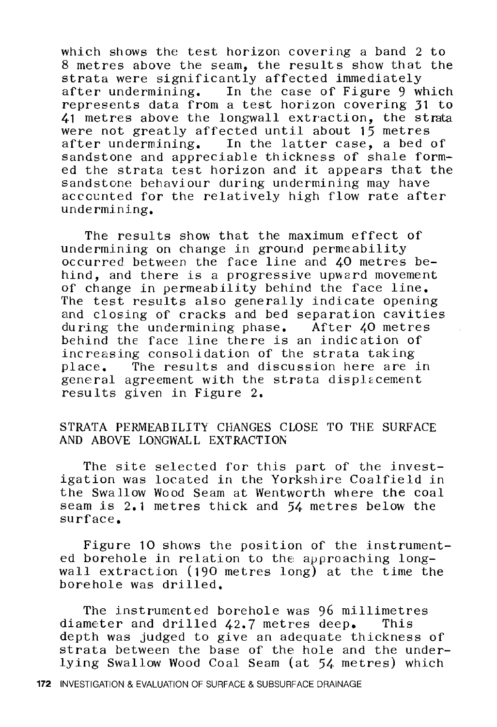which shows the test horizon covering a band 2 to 8 metres above the seam, the results show that the strata were significantly affected immediately<br>after undermining. In the case of Figure 9 w In the case of Figure 9 which represents data from a test horizon covering 31 to 41 metres above the longwall extraction, the strata were not greatly affected until about 15 metres after undermining. In the latter case, a bed of sandstone and appreciable thickness of shale formed the strata test horizon and it appears that the sandstone behaviour during undermining may have accounted for the relatively high flow rate after undermining.

The results show that the maximum effect of undermining on change in ground permeability occurred between the face line and 40 metres behind, and there is a progressive upward movement of change in permeability behind the face line. The test results also generally indicate opening and closing of cracks and bed separation cavities during the undermining phase. After 40 metres behind the face line there is an indication of increasing consolidation of the strata taking place. The results and discussion here are in general agreement with the strata displacement results given in Figure 2.

## STRATA PERMEABILITY CHANGES CLOSE TO THE SURFACE AND ABOVE LONGWALL EXTRACTION

The site selected for this part of the investigation was located in the Yorkshire Coalfield in the Swallow Wood Seam at Wentworth where the coal seam is 2.1 metres thick and 54 metres below the surface,

Figure 10 shows the position of the instrumented borehole in relation to the approaching longwall extraction (190 metres long) at the time the borehole was drilled.

The instrumented borehole was 96 millimetres diameter and drilled 42.7 metres deep, This depth was judged to give an adequate thickness of strata between the base of the hole and the underlying Swallow Wood Coal Seam (at 54 metres) which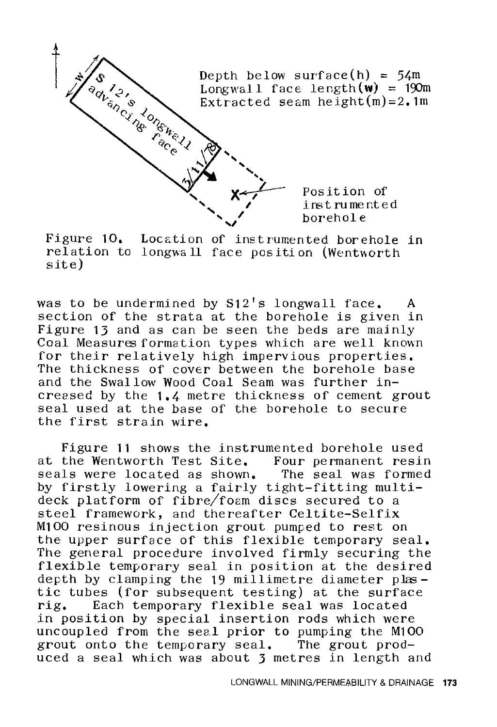

Figure **10.** Location of instrumented borehole in relation to longwall face position (Wentworth site)

was to be undermined by  $S12'$ s longwall face. A section of the strata at the borehole is given in Figure 13 and as can be seen the beds are mainly Coal Measures formation types which are well known for their relatively high impervious properties. The thickness of cover between the borehole base and the Swallow Wood Coal Seam was further increased by the 1.4 metre thickness of cement grout seal used at the base of the borehole to secure the first strain wire.

Figure **11** shows the instrumented borehole used at the Wentworth Test Site. Four permanent resin seals were located as shown. The seal was formed by firstly lowering a fairly tight-fitting multideck platform of fibre/foam discs secured to a steel framework, and thereafter Celtite-Selfix M100 resinous injection grout pumped to rest on the upper surface of this flexible temporary seal. The general procedure involved firmly securing the flexible temporary seal in position at the desired depth by clamping the  $19$  millimetre diameter plastic tubes (for subsequent testing) at the surface<br>rig. Each temporary flexible seal was located Each temporary flexible seal was located in position by special insertion rods which were uncoupled from the seal prior to pumping the M100 grout onto the temporary seal. The grout produced a seal which was about 3 metres in length and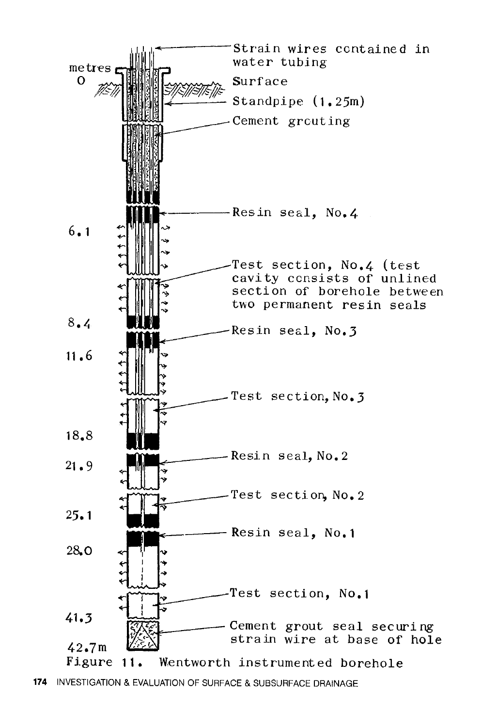

**<sup>174</sup>** INVESTIGATION & EVALUATION OF SURFACE & SUBSURFACE DRAINAGE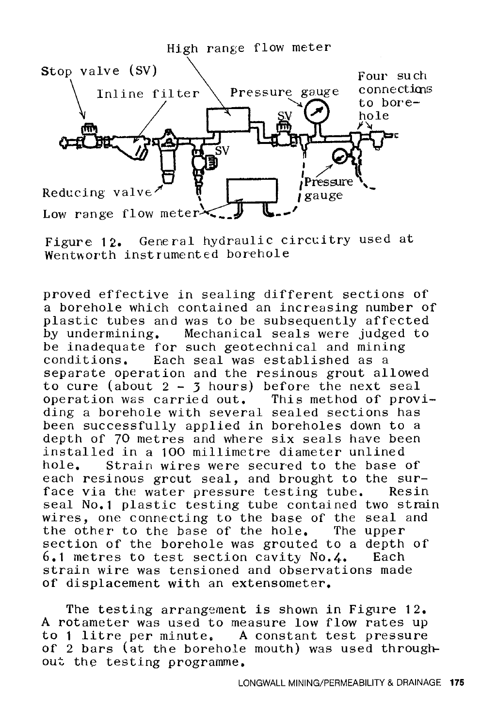

Figure 12. General hydraulic circuitry used at Wentworth instrumented borehole

proved effective in sealing different sections of a borehole which contained an increasing number of plastic tubes and was to be subsequently affected by undermining, Mechanical seals were judged to be inadequate for such geotechnical and mining conditions. Each seal was established as a separate operation and the resinous grout allowed to cure (about  $2 - 3$  hours) before the next seal operation was carried out, This method of providing a borehole with several sealed sections has been successfully applied in boreholes down to a depth of 70 metres and where six seals have been installed in a 100 millimetre diameter unlined Strain wires were secured to the base of each resinous grout seal, and brought to the sur-<br>face via the water pressure testing tube. Resin face via the water pressure testing tube. seal No.1 plastic testing tube contained two strain wires, one connecting to the base of the seal and the other to the base of the hole, The upper section of the borehole was grouted to a depth of  $6.1$  metres to test section cavity  $No. 4.$  Each  $6.1$  metres to test section cavity No.4. strain wire was tensioned and observations made of displacement with an extensometer,

The testing arrangement is shown in Figure 12. A rotameter was used to measure low flow rates up to **1** litre per minute. A constant test pressure of 2 bars (at the borehole mouth) was used throughout the testing programme.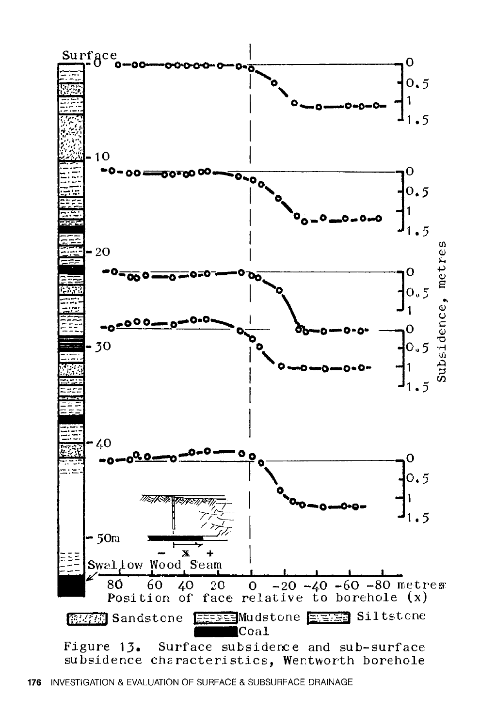

176 INVESTIGATION & EVALUATION OF SURFACE & SUBSURFACE DRAINAGE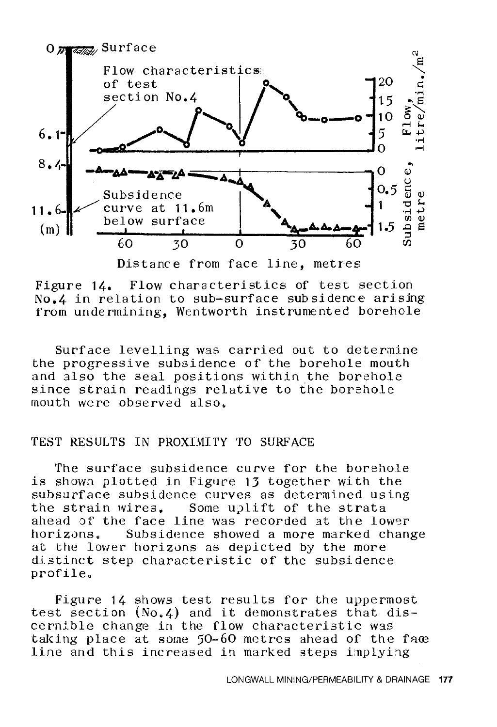

Distance from face line, metres

Figure 14. Flow characteristics of test section  $No.4$  in relation to sub-surface subsidence arising from undermining, Wentworth instrumented borehole

Surface levelling was carried out to determine the progressive subsidence of the borehole mouth and also the seal positions within the borehole since strain readings relative to the borehole mouth were observed also.

# TEST RESULTS IN PROXIMITY TO SURFACE

The surface subsidence curve for the borehole is shown plotted in Figure 13 together with the subsurface subsidence curves as determined using the strain wires. Some uplift of the strata ahead of the face line was recorded at the lower<br>horizons. Subsidence showed a more marked chan Subsidence showed a more marked change at the lower horizons as depicted by the more distinct step characteristic of the subsidence profile.

Figure 14 shows test results for the uppermost test section (No.4) and it demonstrates that discernible change in the flow characteristic was taking place at some  $50-60$  metres ahead of the face line and this increased in marked steps implying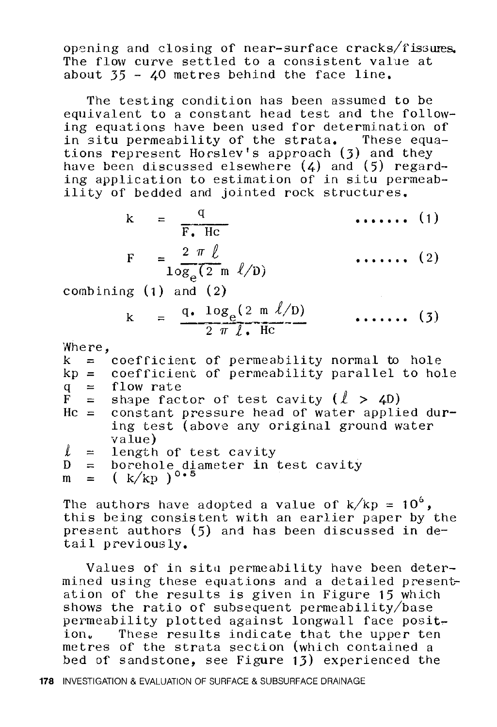opening and closing of near-surface cracks/fissures. The flow curve settled to a consistent value at about  $35 - 40$  metres behind the face line.

The testing condition has been assumed to be equivalent to a constant head test and the following equations have been used for determination of in situ permeability of the strata. These equations represent Horslev's approach (3) and they have been discussed elsewhere (4) and (5) regarding application to estimation of in situ permeability of bedded and jointed rock structures.

| F. Hc                                             | $\cdots$ (1) |
|---------------------------------------------------|--------------|
| $2 \pi l$<br>$10\overline{g_e(2 \text{ m } l/D)}$ | $\cdots$ (2) |

combining ( **1** ) and ( 2)

$$
k = \frac{q. \log_e(2 \text{ m } l/p)}{2 \pi l. \text{ Hc}} \qquad \qquad (3)
$$

Where,

|    | $k =$ coefficient of permeability normal to hole    |  |  |  |  |
|----|-----------------------------------------------------|--|--|--|--|
|    | $kp = coefficient of permeability parallel to hole$ |  |  |  |  |
|    | $q =$ flow rate                                     |  |  |  |  |
|    | $\vec{F}$ = shape factor of test cavity $(l > 40)$  |  |  |  |  |
|    | $Hc =$ constant pressure head of water applied dur- |  |  |  |  |
|    | ing test (above any original ground water           |  |  |  |  |
|    | value)                                              |  |  |  |  |
|    | $l =$ length of test cavity                         |  |  |  |  |
| D. | $=$ borehole diameter in test cavity                |  |  |  |  |
|    | $m = (k/kp)^{0.5}$                                  |  |  |  |  |
|    |                                                     |  |  |  |  |

The authors have adopted a value of  $k/kp = 10^6$ , this being consistent with an earlier paper by the present authors (5) and has been discussed in detail previously.

Values of in situ permeability have been determined using these equations and a detailed presentation of the results is given in Figure 15 which shows the ratio of subsequent permeability/base permeability plotted against longwall face posit-<br>ion. These results indicate that the upper ten These results indicate that the upper ten metres of the strata section (which contained a bed of sandstone, see Figure 13) experienced the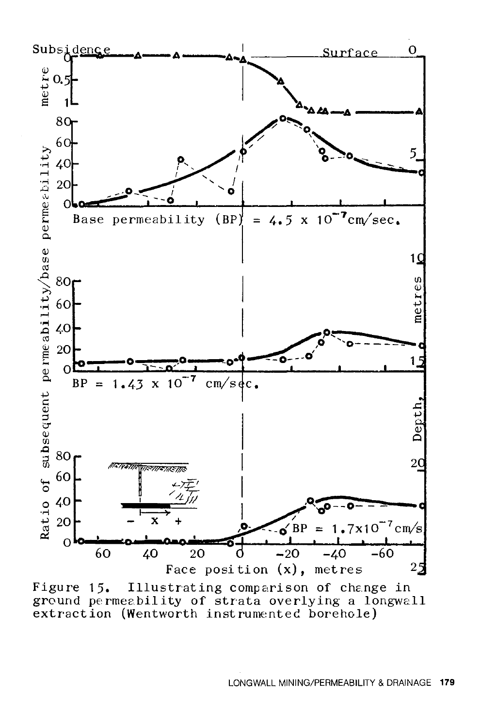

Illustrating comparison of change in Figure 15. ground permeability of strata overlying a longwall extraction (Wentworth instrumented borehole)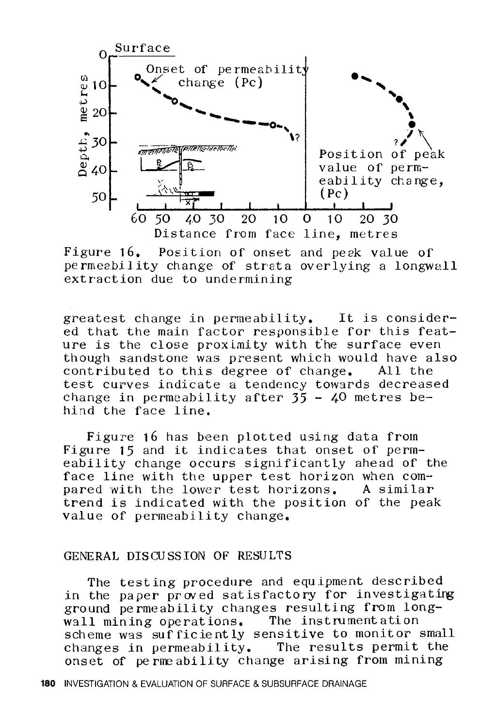

Figure 16. Position of onset and peek value of pe rmeability change of strata overlying a longwall extraction due to undermining

greatest change in permeability. It is considered that the main factor responsible for this feature is the close proximity with fhe surface even though sandstone was present which would have also<br>contributed to this degree of change. All the contributed to this degree of change. test curves indicate a tendency towards decreased change in permeability after  $35 - 40$  metres behind the face line.

Figure 16 has been plotted using data from Figure 15 and it indicates that onset of permeability change occurs significantly ahead of the face line with the upper test horizon when com-<br>pared with the lower test horizons. A similar pared with the lower test horizons. trend is indicated with the position of the peak value of permeability change.

#### GENERAL DISCUSSION OF RESULTS

The testing procedure and equipment described in the paper proved satisfactory for investigating ground permeability changes resulting from longwall mining operations. The instrumentation scheme was sufficiently sensitive to monitor small<br>changes in permeability. The results permit the changes in permeability. onset of perneability change arising from mining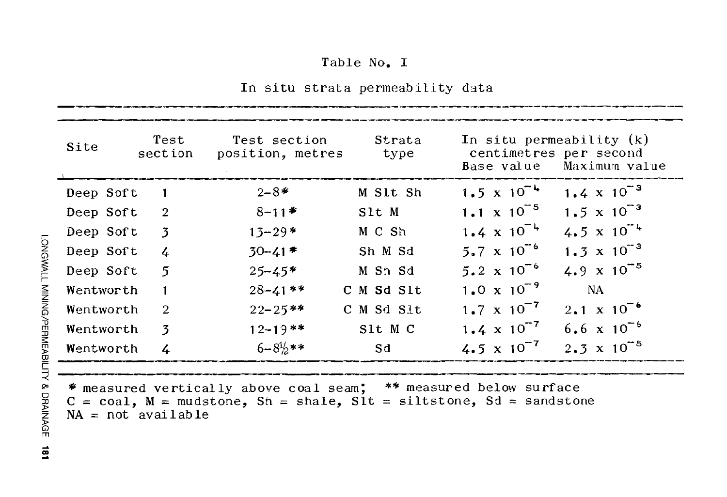# Table No. I

In situ strata permeability data

| $1.5 \times 10^{-4}$<br>$1.4 \times 10^{-3}$<br>$2 - 8*$<br>M Slt Sh<br>Deep Soft<br>$\mathbf{1}$<br>1.1 x $10^{-5}$<br>1.5 x $10^{-3}$<br>$8 - 11*$<br>$\overline{2}$<br>Slt M<br>Deep Soft<br>4.5 x $10^{-4}$<br>$1.4 \times 10^{-4}$<br>$13 - 29*$<br>M C Sh<br>$\overline{3}$<br>Deep Soft<br>5.7 x $10^{-6}$<br>1.3 $\times$ 10 <sup>-3</sup><br>$30 - 41$ *<br>Sh M Sd<br>Deep Soft<br>$\frac{1}{4}$<br>4.9 x $10^{-5}$<br>5.2 x $10^{-6}$<br>$\overline{5}$<br>$25 - 45*$<br>M Sh Sd<br>Deep Soft<br>1.0 x $10^{-9}$<br>$28 - 41$ **<br><b>NA</b><br>C M Sd Slt<br>Wentworth<br>$\mathbf{1}$<br>$1.7 \times 10^{-7}$<br>$2.1 \times 10^{-6}$<br>$22 - 25**$<br>C M Sd Slt<br>$\overline{2}$<br>Wentworth<br>$6.6 \times 10^{-6}$<br>1.4 $\times 10^{-7}$<br>$12 - 19$ **<br>Slt M C<br>Wentworth<br>3<br>$2.3 \times 10^{-5}$<br>$6 - 8\frac{1}{2}$ **<br>4.5 x $10^{-7}$<br>Sd<br>Wentworth<br>$\frac{1}{2}$ | Site | Test<br>section | Test section<br>position, metres | Strata<br>type | In situ permeability $(k)$<br>centimetres per second<br>- Maximum value<br>Base value |
|----------------------------------------------------------------------------------------------------------------------------------------------------------------------------------------------------------------------------------------------------------------------------------------------------------------------------------------------------------------------------------------------------------------------------------------------------------------------------------------------------------------------------------------------------------------------------------------------------------------------------------------------------------------------------------------------------------------------------------------------------------------------------------------------------------------------------------------------------------------------------------------------------------------------|------|-----------------|----------------------------------|----------------|---------------------------------------------------------------------------------------|
|                                                                                                                                                                                                                                                                                                                                                                                                                                                                                                                                                                                                                                                                                                                                                                                                                                                                                                                      |      |                 |                                  |                |                                                                                       |
|                                                                                                                                                                                                                                                                                                                                                                                                                                                                                                                                                                                                                                                                                                                                                                                                                                                                                                                      |      |                 |                                  |                |                                                                                       |
|                                                                                                                                                                                                                                                                                                                                                                                                                                                                                                                                                                                                                                                                                                                                                                                                                                                                                                                      |      |                 |                                  |                |                                                                                       |
|                                                                                                                                                                                                                                                                                                                                                                                                                                                                                                                                                                                                                                                                                                                                                                                                                                                                                                                      |      |                 |                                  |                |                                                                                       |
|                                                                                                                                                                                                                                                                                                                                                                                                                                                                                                                                                                                                                                                                                                                                                                                                                                                                                                                      |      |                 |                                  |                |                                                                                       |
|                                                                                                                                                                                                                                                                                                                                                                                                                                                                                                                                                                                                                                                                                                                                                                                                                                                                                                                      |      |                 |                                  |                |                                                                                       |
|                                                                                                                                                                                                                                                                                                                                                                                                                                                                                                                                                                                                                                                                                                                                                                                                                                                                                                                      |      |                 |                                  |                |                                                                                       |
|                                                                                                                                                                                                                                                                                                                                                                                                                                                                                                                                                                                                                                                                                                                                                                                                                                                                                                                      |      |                 |                                  |                |                                                                                       |
|                                                                                                                                                                                                                                                                                                                                                                                                                                                                                                                                                                                                                                                                                                                                                                                                                                                                                                                      |      |                 |                                  |                |                                                                                       |

\* measured vertically above coal seam; \*\* measured below surface  $C = coal, M = mudstone, Sh = shade, SIt = siltstone, Sd = sandstone$  $NA = not$  available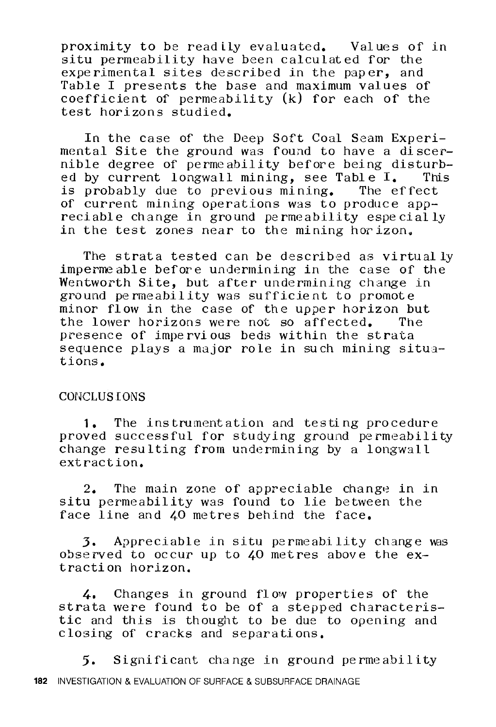proximity to be readily evaluated. Values of in situ permeability have been calculated for the experimental sites described in the paper, and Table I presents the base and maximum values of coefficient of permeability (k) for each of the test horizons studied.

In the case of the Deep Soft Coal Seam Experimental Site the ground was found to have a discernible degree of permeability before being disturb-<br>ed by current longwall mining, see Table I, This ed by current longwall mining, see Table  $I$ . This probably due to previous mining. The effect is probably due to previous mining. of current mining operations was to produce appreciable change in ground permeability especially in the test zones near to the mining hor izon.

The strata tested can be described as virtually impermeable before undermining in the case of the Wentworth Site, but after undermining change in ground permeability was sufficient to promote minor flow in the case of the upper horizon but<br>the lower horizons were not so affected. The the lower horizons were not so affected. presence of impervious beds within the strata sequence plays a major role in such mining situations.

#### CONCLUSIONS

**1.** The instrumentation and testing procedure proved successful for studying ground permeability change resulting from undermining by a longwall extraction.

 $2.$  The main zone of appreciable change in in situ permeability was found to lie between the face line and 40 metres behind the face.

3. Appreciable in situ permeability change was observed to occur up to 40 met res above the extraction horizon.

4, Changes in ground fl ow properties of the strata were found to be of a stepped characteristic and this is thought to be due to opening and closing of cracks and separations,

5. Significant change in ground permeability **182** INVESTIGATION & EVALUATION OF SURFACE & SUBSURFACE DRAINAGE